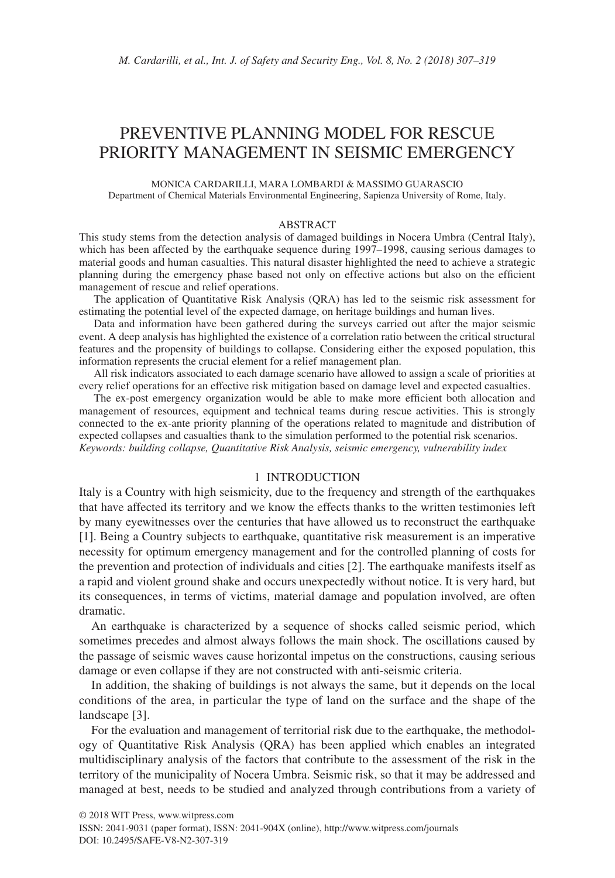# PREVENTIVE PLANNING MODEL FOR RESCUE PRIORITY MANAGEMENT IN SEISMIC EMERGENCY

MONICA CARDARILLI, MARA LOMBARDI & MASSIMO GUARASCIO Department of Chemical Materials Environmental Engineering, Sapienza University of Rome, Italy.

#### ABSTRACT

This study stems from the detection analysis of damaged buildings in Nocera Umbra (Central Italy), which has been affected by the earthquake sequence during 1997–1998, causing serious damages to material goods and human casualties. This natural disaster highlighted the need to achieve a strategic planning during the emergency phase based not only on effective actions but also on the efficient management of rescue and relief operations.

The application of Quantitative Risk Analysis (QRA) has led to the seismic risk assessment for estimating the potential level of the expected damage, on heritage buildings and human lives.

Data and information have been gathered during the surveys carried out after the major seismic event. A deep analysis has highlighted the existence of a correlation ratio between the critical structural features and the propensity of buildings to collapse. Considering either the exposed population, this information represents the crucial element for a relief management plan.

All risk indicators associated to each damage scenario have allowed to assign a scale of priorities at every relief operations for an effective risk mitigation based on damage level and expected casualties.

The ex-post emergency organization would be able to make more efficient both allocation and management of resources, equipment and technical teams during rescue activities. This is strongly connected to the ex-ante priority planning of the operations related to magnitude and distribution of expected collapses and casualties thank to the simulation performed to the potential risk scenarios. *Keywords: building collapse, Quantitative Risk Analysis, seismic emergency, vulnerability index*

## 1 INTRODUCTION

Italy is a Country with high seismicity, due to the frequency and strength of the earthquakes that have affected its territory and we know the effects thanks to the written testimonies left by many eyewitnesses over the centuries that have allowed us to reconstruct the earthquake [1]. Being a Country subjects to earthquake, quantitative risk measurement is an imperative necessity for optimum emergency management and for the controlled planning of costs for the prevention and protection of individuals and cities [2]. The earthquake manifests itself as a rapid and violent ground shake and occurs unexpectedly without notice. It is very hard, but its consequences, in terms of victims, material damage and population involved, are often dramatic.

An earthquake is characterized by a sequence of shocks called seismic period, which sometimes precedes and almost always follows the main shock. The oscillations caused by the passage of seismic waves cause horizontal impetus on the constructions, causing serious damage or even collapse if they are not constructed with anti-seismic criteria.

In addition, the shaking of buildings is not always the same, but it depends on the local conditions of the area, in particular the type of land on the surface and the shape of the landscape [3].

For the evaluation and management of territorial risk due to the earthquake, the methodology of Quantitative Risk Analysis (QRA) has been applied which enables an integrated multidisciplinary analysis of the factors that contribute to the assessment of the risk in the territory of the municipality of Nocera Umbra. Seismic risk, so that it may be addressed and managed at best, needs to be studied and analyzed through contributions from a variety of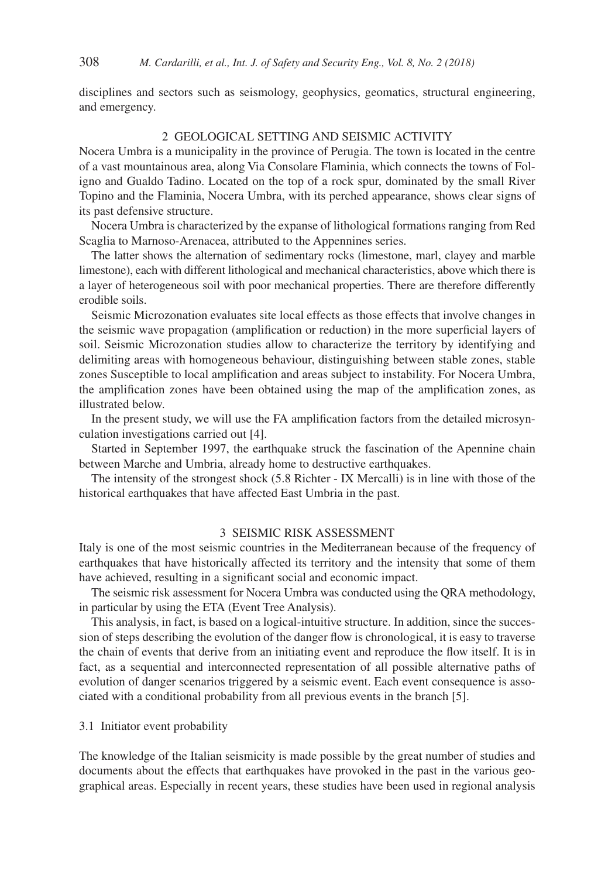disciplines and sectors such as seismology, geophysics, geomatics, structural engineering, and emergency.

## 2 GEOLOGICAL SETTING AND SEISMIC ACTIVITY

Nocera Umbra is a municipality in the province of Perugia. The town is located in the centre of a vast mountainous area, along Via Consolare Flaminia, which connects the towns of Foligno and Gualdo Tadino. Located on the top of a rock spur, dominated by the small River Topino and the Flaminia, Nocera Umbra, with its perched appearance, shows clear signs of its past defensive structure.

Nocera Umbra is characterized by the expanse of lithological formations ranging from Red Scaglia to Marnoso-Arenacea, attributed to the Appennines series.

The latter shows the alternation of sedimentary rocks (limestone, marl, clayey and marble limestone), each with different lithological and mechanical characteristics, above which there is a layer of heterogeneous soil with poor mechanical properties. There are therefore differently erodible soils.

Seismic Microzonation evaluates site local effects as those effects that involve changes in the seismic wave propagation (amplification or reduction) in the more superficial layers of soil. Seismic Microzonation studies allow to characterize the territory by identifying and delimiting areas with homogeneous behaviour, distinguishing between stable zones, stable zones Susceptible to local amplification and areas subject to instability. For Nocera Umbra, the amplification zones have been obtained using the map of the amplification zones, as illustrated below.

In the present study, we will use the FA amplification factors from the detailed microsynculation investigations carried out [4].

Started in September 1997, the earthquake struck the fascination of the Apennine chain between Marche and Umbria, already home to destructive earthquakes.

The intensity of the strongest shock (5.8 Richter - IX Mercalli) is in line with those of the historical earthquakes that have affected East Umbria in the past.

## 3 SEISMIC RISK ASSESSMENT

Italy is one of the most seismic countries in the Mediterranean because of the frequency of earthquakes that have historically affected its territory and the intensity that some of them have achieved, resulting in a significant social and economic impact.

The seismic risk assessment for Nocera Umbra was conducted using the QRA methodology, in particular by using the ETA (Event Tree Analysis).

This analysis, in fact, is based on a logical-intuitive structure. In addition, since the succession of steps describing the evolution of the danger flow is chronological, it is easy to traverse the chain of events that derive from an initiating event and reproduce the flow itself. It is in fact, as a sequential and interconnected representation of all possible alternative paths of evolution of danger scenarios triggered by a seismic event. Each event consequence is associated with a conditional probability from all previous events in the branch [5].

3.1 Initiator event probability

The knowledge of the Italian seismicity is made possible by the great number of studies and documents about the effects that earthquakes have provoked in the past in the various geographical areas. Especially in recent years, these studies have been used in regional analysis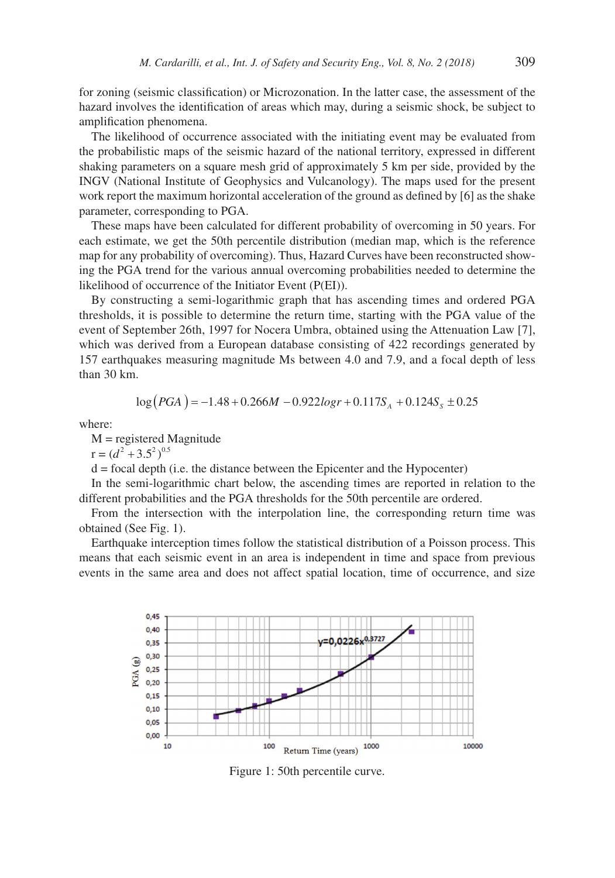for zoning (seismic classification) or Microzonation. In the latter case, the assessment of the hazard involves the identification of areas which may, during a seismic shock, be subject to amplification phenomena.

The likelihood of occurrence associated with the initiating event may be evaluated from the probabilistic maps of the seismic hazard of the national territory, expressed in different shaking parameters on a square mesh grid of approximately 5 km per side, provided by the INGV (National Institute of Geophysics and Vulcanology). The maps used for the present work report the maximum horizontal acceleration of the ground as defined by [6] as the shake parameter, corresponding to PGA.

These maps have been calculated for different probability of overcoming in 50 years. For each estimate, we get the 50th percentile distribution (median map, which is the reference map for any probability of overcoming). Thus, Hazard Curves have been reconstructed showing the PGA trend for the various annual overcoming probabilities needed to determine the likelihood of occurrence of the Initiator Event (P(EI)).

By constructing a semi-logarithmic graph that has ascending times and ordered PGA thresholds, it is possible to determine the return time, starting with the PGA value of the event of September 26th, 1997 for Nocera Umbra, obtained using the Attenuation Law [7], which was derived from a European database consisting of 422 recordings generated by 157 earthquakes measuring magnitude Ms between 4.0 and 7.9, and a focal depth of less than 30 km.

$$
\log (PGA) = -1.48 + 0.266M - 0.922logr + 0.117S_A + 0.124S_S \pm 0.25
$$

where:

 $M$  = registered Magnitude

 $r = (d^2 + 3.5^2)^{0.5}$ 

d = focal depth (i.e. the distance between the Epicenter and the Hypocenter)

In the semi-logarithmic chart below, the ascending times are reported in relation to the different probabilities and the PGA thresholds for the 50th percentile are ordered.

From the intersection with the interpolation line, the corresponding return time was obtained (See Fig. 1).

Earthquake interception times follow the statistical distribution of a Poisson process. This means that each seismic event in an area is independent in time and space from previous events in the same area and does not affect spatial location, time of occurrence, and size



Figure 1: 50th percentile curve.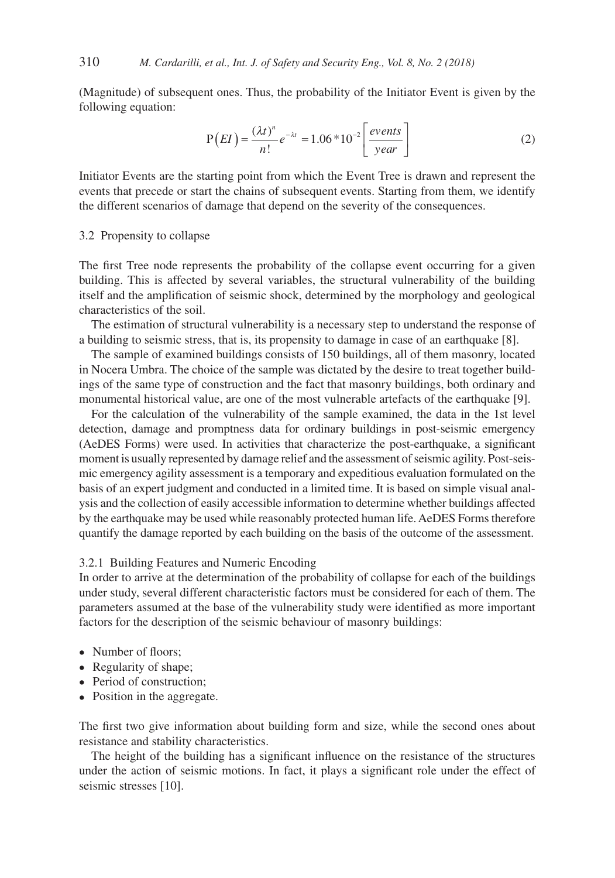(Magnitude) of subsequent ones. Thus, the probability of the Initiator Event is given by the following equation:

$$
P(EI) = \frac{(\lambda t)^n}{n!} e^{-\lambda t} = 1.06 \times 10^{-2} \left[ \frac{events}{year} \right]
$$
 (2)

Initiator Events are the starting point from which the Event Tree is drawn and represent the events that precede or start the chains of subsequent events. Starting from them, we identify the different scenarios of damage that depend on the severity of the consequences.

## 3.2 Propensity to collapse

The first Tree node represents the probability of the collapse event occurring for a given building. This is affected by several variables, the structural vulnerability of the building itself and the amplification of seismic shock, determined by the morphology and geological characteristics of the soil.

The estimation of structural vulnerability is a necessary step to understand the response of a building to seismic stress, that is, its propensity to damage in case of an earthquake [8].

The sample of examined buildings consists of 150 buildings, all of them masonry, located in Nocera Umbra. The choice of the sample was dictated by the desire to treat together buildings of the same type of construction and the fact that masonry buildings, both ordinary and monumental historical value, are one of the most vulnerable artefacts of the earthquake [9].

For the calculation of the vulnerability of the sample examined, the data in the 1st level detection, damage and promptness data for ordinary buildings in post-seismic emergency (AeDES Forms) were used. In activities that characterize the post-earthquake, a significant moment is usually represented by damage relief and the assessment of seismic agility. Post-seismic emergency agility assessment is a temporary and expeditious evaluation formulated on the basis of an expert judgment and conducted in a limited time. It is based on simple visual analysis and the collection of easily accessible information to determine whether buildings affected by the earthquake may be used while reasonably protected human life. AeDES Forms therefore quantify the damage reported by each building on the basis of the outcome of the assessment.

## 3.2.1 Building Features and Numeric Encoding

In order to arrive at the determination of the probability of collapse for each of the buildings under study, several different characteristic factors must be considered for each of them. The parameters assumed at the base of the vulnerability study were identified as more important factors for the description of the seismic behaviour of masonry buildings:

- Number of floors;
- Regularity of shape;
- Period of construction;
- Position in the aggregate.

The first two give information about building form and size, while the second ones about resistance and stability characteristics.

The height of the building has a significant influence on the resistance of the structures under the action of seismic motions. In fact, it plays a significant role under the effect of seismic stresses [10].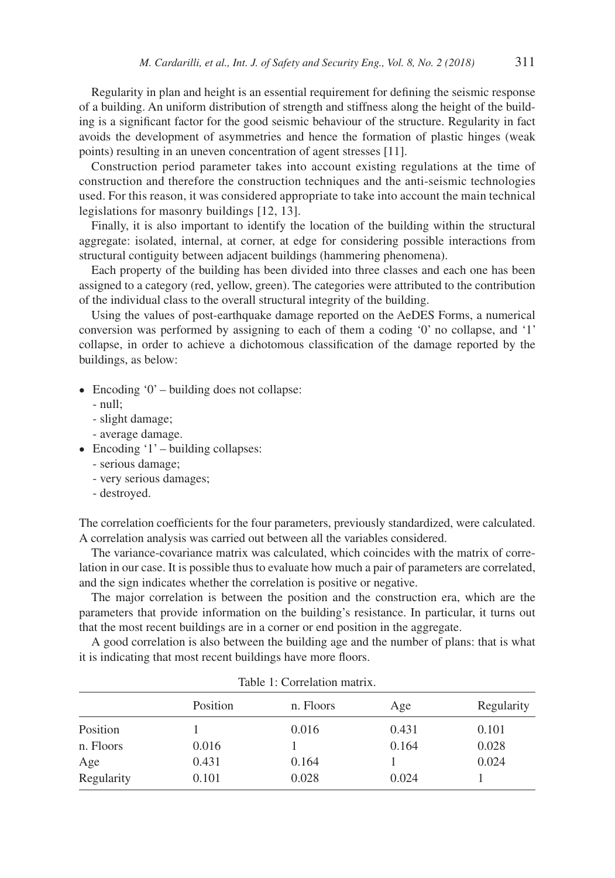Regularity in plan and height is an essential requirement for defining the seismic response of a building. An uniform distribution of strength and stiffness along the height of the building is a significant factor for the good seismic behaviour of the structure. Regularity in fact avoids the development of asymmetries and hence the formation of plastic hinges (weak points) resulting in an uneven concentration of agent stresses [11].

Construction period parameter takes into account existing regulations at the time of construction and therefore the construction techniques and the anti-seismic technologies used. For this reason, it was considered appropriate to take into account the main technical legislations for masonry buildings [12, 13].

Finally, it is also important to identify the location of the building within the structural aggregate: isolated, internal, at corner, at edge for considering possible interactions from structural contiguity between adjacent buildings (hammering phenomena).

Each property of the building has been divided into three classes and each one has been assigned to a category (red, yellow, green). The categories were attributed to the contribution of the individual class to the overall structural integrity of the building.

Using the values of post-earthquake damage reported on the AeDES Forms, a numerical conversion was performed by assigning to each of them a coding '0' no collapse, and '1' collapse, in order to achieve a dichotomous classification of the damage reported by the buildings, as below:

- Encoding '0' building does not collapse:
	- null;
	- slight damage;
	- average damage.
- Encoding  $'1'$  building collapses:
	- serious damage;
	- very serious damages;
	- destroyed.

The correlation coefficients for the four parameters, previously standardized, were calculated. A correlation analysis was carried out between all the variables considered.

The variance-covariance matrix was calculated, which coincides with the matrix of correlation in our case. It is possible thus to evaluate how much a pair of parameters are correlated, and the sign indicates whether the correlation is positive or negative.

The major correlation is between the position and the construction era, which are the parameters that provide information on the building's resistance. In particular, it turns out that the most recent buildings are in a corner or end position in the aggregate.

A good correlation is also between the building age and the number of plans: that is what it is indicating that most recent buildings have more floors.

| таріє т. Сопетанон шаніх. |          |           |       |            |  |  |
|---------------------------|----------|-----------|-------|------------|--|--|
|                           | Position | n. Floors | Age   | Regularity |  |  |
| Position                  |          | 0.016     | 0.431 | 0.101      |  |  |
| n. Floors                 | 0.016    |           | 0.164 | 0.028      |  |  |
| Age                       | 0.431    | 0.164     |       | 0.024      |  |  |
| Regularity                | 0.101    | 0.028     | 0.024 |            |  |  |

|  | Table 1: Correlation matrix |  |
|--|-----------------------------|--|
|  |                             |  |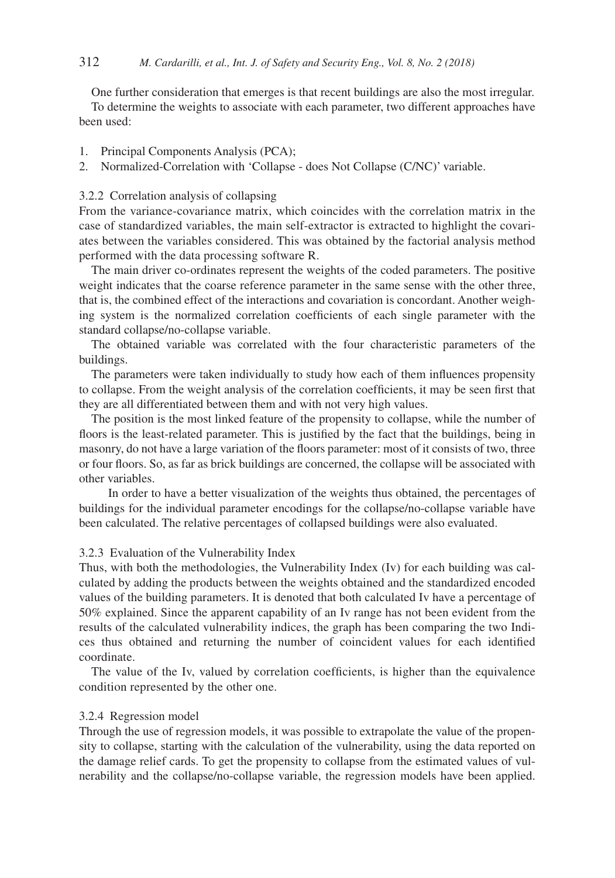One further consideration that emerges is that recent buildings are also the most irregular. To determine the weights to associate with each parameter, two different approaches have been used:

- 1. Principal Components Analysis (PCA);
- 2. Normalized-Correlation with 'Collapse does Not Collapse (C/NC)' variable.

## 3.2.2 Correlation analysis of collapsing

From the variance-covariance matrix, which coincides with the correlation matrix in the case of standardized variables, the main self-extractor is extracted to highlight the covariates between the variables considered. This was obtained by the factorial analysis method performed with the data processing software R.

The main driver co-ordinates represent the weights of the coded parameters. The positive weight indicates that the coarse reference parameter in the same sense with the other three, that is, the combined effect of the interactions and covariation is concordant. Another weighing system is the normalized correlation coefficients of each single parameter with the standard collapse/no-collapse variable.

The obtained variable was correlated with the four characteristic parameters of the buildings.

The parameters were taken individually to study how each of them influences propensity to collapse. From the weight analysis of the correlation coefficients, it may be seen first that they are all differentiated between them and with not very high values.

The position is the most linked feature of the propensity to collapse, while the number of floors is the least-related parameter. This is justified by the fact that the buildings, being in masonry, do not have a large variation of the floors parameter: most of it consists of two, three or four floors. So, as far as brick buildings are concerned, the collapse will be associated with other variables.

 In order to have a better visualization of the weights thus obtained, the percentages of buildings for the individual parameter encodings for the collapse/no-collapse variable have been calculated. The relative percentages of collapsed buildings were also evaluated.

## 3.2.3 Evaluation of the Vulnerability Index

Thus, with both the methodologies, the Vulnerability Index (Iv) for each building was calculated by adding the products between the weights obtained and the standardized encoded values of the building parameters. It is denoted that both calculated Iv have a percentage of 50% explained. Since the apparent capability of an Iv range has not been evident from the results of the calculated vulnerability indices, the graph has been comparing the two Indices thus obtained and returning the number of coincident values for each identified coordinate.

The value of the Iv, valued by correlation coefficients, is higher than the equivalence condition represented by the other one.

## 3.2.4 Regression model

Through the use of regression models, it was possible to extrapolate the value of the propensity to collapse, starting with the calculation of the vulnerability, using the data reported on the damage relief cards. To get the propensity to collapse from the estimated values of vulnerability and the collapse/no-collapse variable, the regression models have been applied.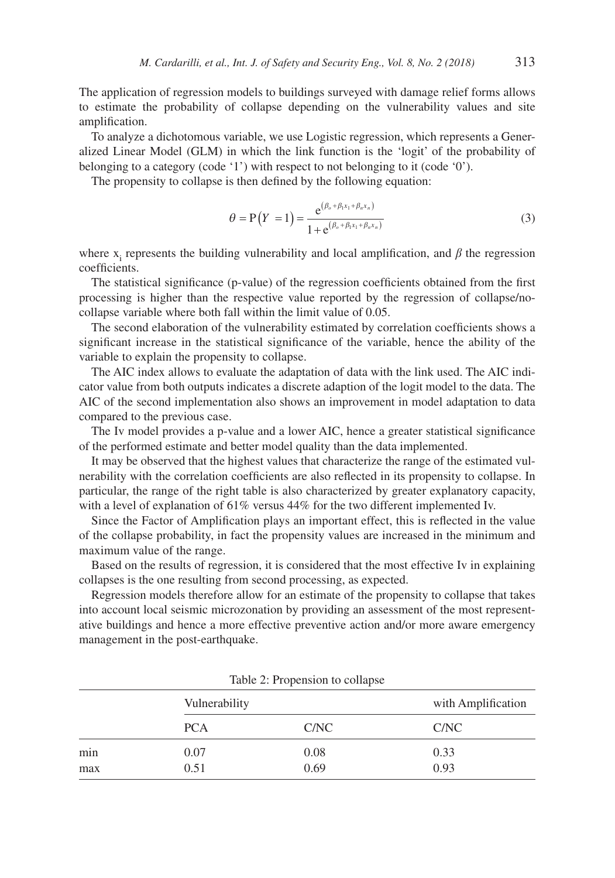The application of regression models to buildings surveyed with damage relief forms allows to estimate the probability of collapse depending on the vulnerability values and site amplification.

To analyze a dichotomous variable, we use Logistic regression, which represents a Generalized Linear Model (GLM) in which the link function is the 'logit' of the probability of belonging to a category (code '1') with respect to not belonging to it (code '0').

The propensity to collapse is then defined by the following equation:

$$
\theta = P(Y = 1) = \frac{e^{(\beta_o + \beta_1 x_1 + \beta_n x_n)}}{1 + e^{(\beta_o + \beta_1 x_1 + \beta_n x_n)}}
$$
(3)

where  $x_i$  represents the building vulnerability and local amplification, and  $\beta$  the regression coefficients.

The statistical significance (p-value) of the regression coefficients obtained from the first processing is higher than the respective value reported by the regression of collapse/nocollapse variable where both fall within the limit value of 0.05.

The second elaboration of the vulnerability estimated by correlation coefficients shows a significant increase in the statistical significance of the variable, hence the ability of the variable to explain the propensity to collapse.

The AIC index allows to evaluate the adaptation of data with the link used. The AIC indicator value from both outputs indicates a discrete adaption of the logit model to the data. The AIC of the second implementation also shows an improvement in model adaptation to data compared to the previous case.

The Iv model provides a p-value and a lower AIC, hence a greater statistical significance of the performed estimate and better model quality than the data implemented.

It may be observed that the highest values that characterize the range of the estimated vulnerability with the correlation coefficients are also reflected in its propensity to collapse. In particular, the range of the right table is also characterized by greater explanatory capacity, with a level of explanation of 61% versus 44% for the two different implemented Iv.

Since the Factor of Amplification plays an important effect, this is reflected in the value of the collapse probability, in fact the propensity values are increased in the minimum and maximum value of the range.

Based on the results of regression, it is considered that the most effective Iv in explaining collapses is the one resulting from second processing, as expected.

Regression models therefore allow for an estimate of the propensity to collapse that takes into account local seismic microzonation by providing an assessment of the most representative buildings and hence a more effective preventive action and/or more aware emergency management in the post-earthquake.

|     | Vulnerability | with Amplification |      |
|-----|---------------|--------------------|------|
|     | <b>PCA</b>    | C/NC               | C/NC |
| min | 0.07          | 0.08               | 0.33 |
| max | 0.51          | 0.69               | 0.93 |

Table 2: Propension to collapse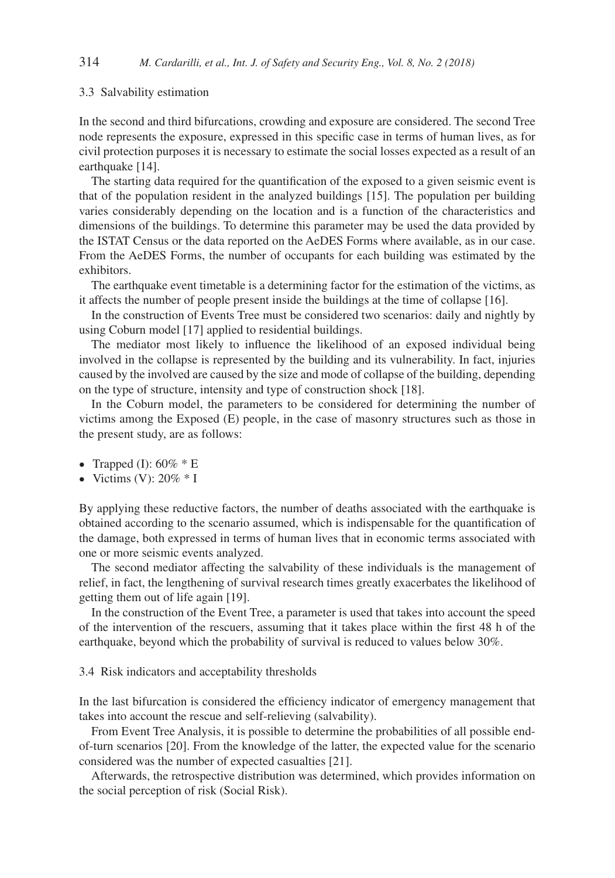#### 3.3 Salvability estimation

In the second and third bifurcations, crowding and exposure are considered. The second Tree node represents the exposure, expressed in this specific case in terms of human lives, as for civil protection purposes it is necessary to estimate the social losses expected as a result of an earthquake [14].

The starting data required for the quantification of the exposed to a given seismic event is that of the population resident in the analyzed buildings [15]. The population per building varies considerably depending on the location and is a function of the characteristics and dimensions of the buildings. To determine this parameter may be used the data provided by the ISTAT Census or the data reported on the AeDES Forms where available, as in our case. From the AeDES Forms, the number of occupants for each building was estimated by the exhibitors.

The earthquake event timetable is a determining factor for the estimation of the victims, as it affects the number of people present inside the buildings at the time of collapse [16].

In the construction of Events Tree must be considered two scenarios: daily and nightly by using Coburn model [17] applied to residential buildings.

The mediator most likely to influence the likelihood of an exposed individual being involved in the collapse is represented by the building and its vulnerability. In fact, injuries caused by the involved are caused by the size and mode of collapse of the building, depending on the type of structure, intensity and type of construction shock [18].

In the Coburn model, the parameters to be considered for determining the number of victims among the Exposed (E) people, in the case of masonry structures such as those in the present study, are as follows:

- Trapped (I):  $60\% * E$
- Victims (V):  $20\% * I$

By applying these reductive factors, the number of deaths associated with the earthquake is obtained according to the scenario assumed, which is indispensable for the quantification of the damage, both expressed in terms of human lives that in economic terms associated with one or more seismic events analyzed.

The second mediator affecting the salvability of these individuals is the management of relief, in fact, the lengthening of survival research times greatly exacerbates the likelihood of getting them out of life again [19].

In the construction of the Event Tree, a parameter is used that takes into account the speed of the intervention of the rescuers, assuming that it takes place within the first 48 h of the earthquake, beyond which the probability of survival is reduced to values below 30%.

3.4 Risk indicators and acceptability thresholds

In the last bifurcation is considered the efficiency indicator of emergency management that takes into account the rescue and self-relieving (salvability).

From Event Tree Analysis, it is possible to determine the probabilities of all possible endof-turn scenarios [20]. From the knowledge of the latter, the expected value for the scenario considered was the number of expected casualties [21].

Afterwards, the retrospective distribution was determined, which provides information on the social perception of risk (Social Risk).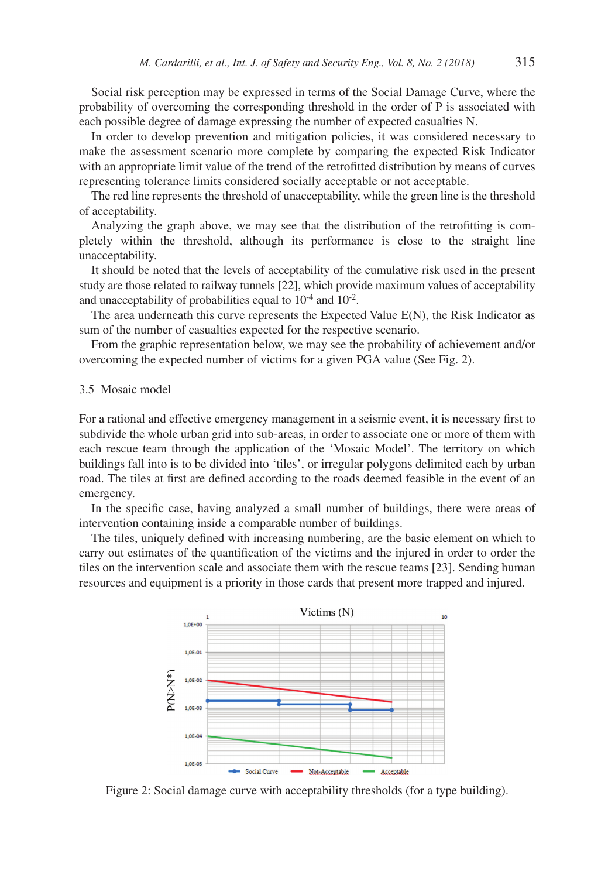Social risk perception may be expressed in terms of the Social Damage Curve, where the probability of overcoming the corresponding threshold in the order of P is associated with each possible degree of damage expressing the number of expected casualties N.

In order to develop prevention and mitigation policies, it was considered necessary to make the assessment scenario more complete by comparing the expected Risk Indicator with an appropriate limit value of the trend of the retrofitted distribution by means of curves representing tolerance limits considered socially acceptable or not acceptable.

The red line represents the threshold of unacceptability, while the green line is the threshold of acceptability.

Analyzing the graph above, we may see that the distribution of the retrofitting is completely within the threshold, although its performance is close to the straight line unacceptability.

It should be noted that the levels of acceptability of the cumulative risk used in the present study are those related to railway tunnels [22], which provide maximum values of acceptability and unacceptability of probabilities equal to  $10^{-4}$  and  $10^{-2}$ .

The area underneath this curve represents the Expected Value E(N), the Risk Indicator as sum of the number of casualties expected for the respective scenario.

From the graphic representation below, we may see the probability of achievement and/or overcoming the expected number of victims for a given PGA value (See Fig. 2).

#### 3.5 Mosaic model

For a rational and effective emergency management in a seismic event, it is necessary first to subdivide the whole urban grid into sub-areas, in order to associate one or more of them with each rescue team through the application of the 'Mosaic Model'. The territory on which buildings fall into is to be divided into 'tiles', or irregular polygons delimited each by urban road. The tiles at first are defined according to the roads deemed feasible in the event of an emergency.

In the specific case, having analyzed a small number of buildings, there were areas of intervention containing inside a comparable number of buildings.

The tiles, uniquely defined with increasing numbering, are the basic element on which to carry out estimates of the quantification of the victims and the injured in order to order the tiles on the intervention scale and associate them with the rescue teams [23]. Sending human resources and equipment is a priority in those cards that present more trapped and injured.



Figure 2: Social damage curve with acceptability thresholds (for a type building).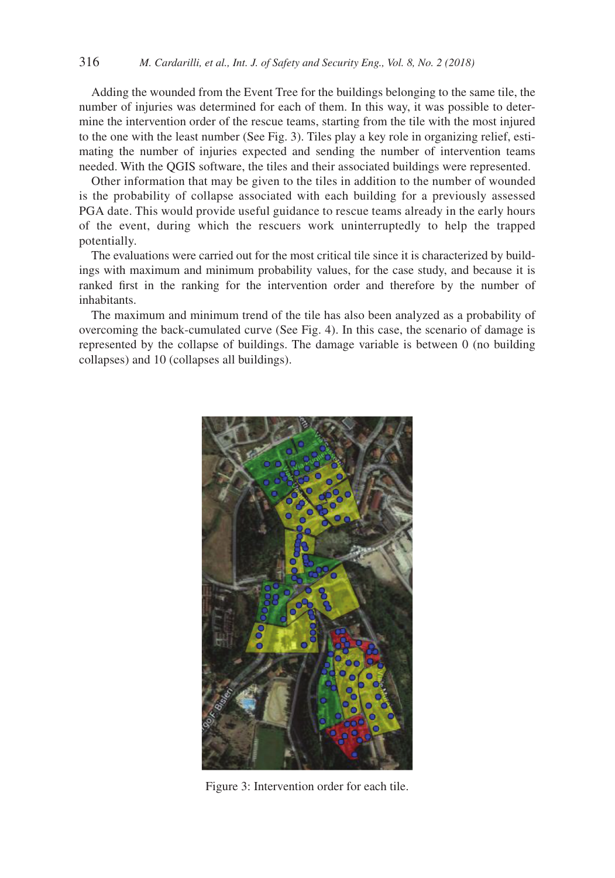Adding the wounded from the Event Tree for the buildings belonging to the same tile, the number of injuries was determined for each of them. In this way, it was possible to determine the intervention order of the rescue teams, starting from the tile with the most injured to the one with the least number (See Fig. 3). Tiles play a key role in organizing relief, estimating the number of injuries expected and sending the number of intervention teams needed. With the QGIS software, the tiles and their associated buildings were represented.

Other information that may be given to the tiles in addition to the number of wounded is the probability of collapse associated with each building for a previously assessed PGA date. This would provide useful guidance to rescue teams already in the early hours of the event, during which the rescuers work uninterruptedly to help the trapped potentially.

The evaluations were carried out for the most critical tile since it is characterized by buildings with maximum and minimum probability values, for the case study, and because it is ranked first in the ranking for the intervention order and therefore by the number of inhabitants.

The maximum and minimum trend of the tile has also been analyzed as a probability of overcoming the back-cumulated curve (See Fig. 4). In this case, the scenario of damage is represented by the collapse of buildings. The damage variable is between 0 (no building collapses) and 10 (collapses all buildings).



Figure 3: Intervention order for each tile.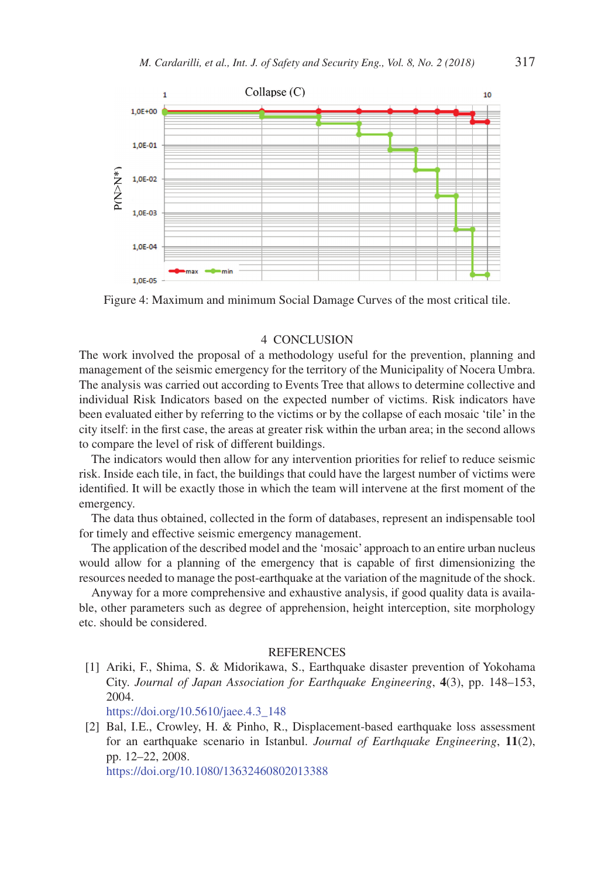

Figure 4: Maximum and minimum Social Damage Curves of the most critical tile.

### 4 CONCLUSION

The work involved the proposal of a methodology useful for the prevention, planning and management of the seismic emergency for the territory of the Municipality of Nocera Umbra. The analysis was carried out according to Events Tree that allows to determine collective and individual Risk Indicators based on the expected number of victims. Risk indicators have been evaluated either by referring to the victims or by the collapse of each mosaic 'tile' in the city itself: in the first case, the areas at greater risk within the urban area; in the second allows to compare the level of risk of different buildings.

The indicators would then allow for any intervention priorities for relief to reduce seismic risk. Inside each tile, in fact, the buildings that could have the largest number of victims were identified. It will be exactly those in which the team will intervene at the first moment of the emergency.

The data thus obtained, collected in the form of databases, represent an indispensable tool for timely and effective seismic emergency management.

The application of the described model and the 'mosaic' approach to an entire urban nucleus would allow for a planning of the emergency that is capable of first dimensionizing the resources needed to manage the post-earthquake at the variation of the magnitude of the shock.

Anyway for a more comprehensive and exhaustive analysis, if good quality data is available, other parameters such as degree of apprehension, height interception, site morphology etc. should be considered.

#### **REFERENCES**

[1] Ariki, F., Shima, S. & Midorikawa, S., Earthquake disaster prevention of Yokohama City. *Journal of Japan Association for Earthquake Engineering*, **4**(3), pp. 148–153, 2004.

https://doi.org/10.5610/jaee.4.3\_148

[2] Bal, I.E., Crowley, H. & Pinho, R., Displacement-based earthquake loss assessment for an earthquake scenario in Istanbul. *Journal of Earthquake Engineering*, **11**(2), pp. 12–22, 2008.

https://doi.org/10.1080/13632460802013388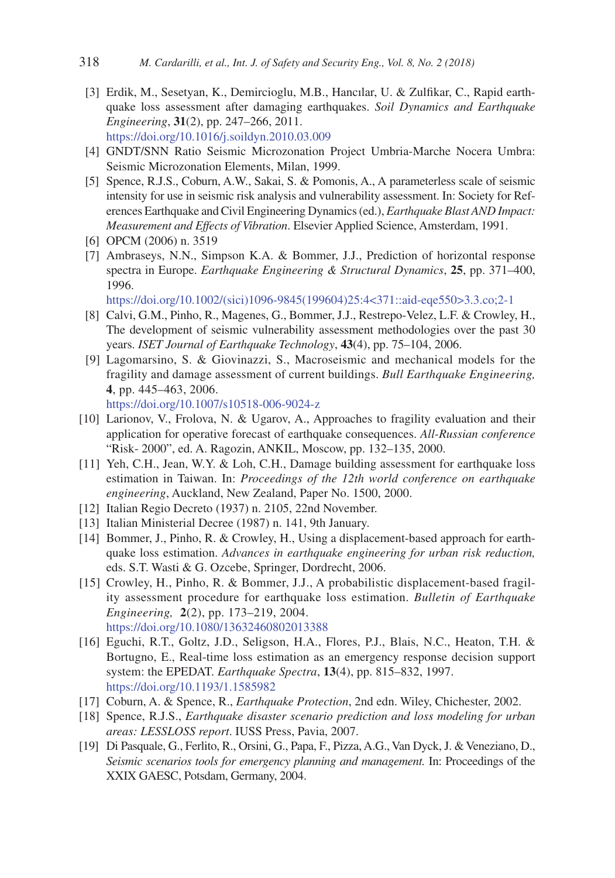- [3] Erdik, M., Sesetyan, K., Demircioglu, M.B., Hancılar, U. & Zulfikar, C., Rapid earthquake loss assessment after damaging earthquakes. *Soil Dynamics and Earthquake Engineering*, **31**(2), pp. 247–266, 2011. https://doi.org/10.1016/j.soildyn.2010.03.009
- [4] GNDT/SNN Ratio Seismic Microzonation Project Umbria-Marche Nocera Umbra: Seismic Microzonation Elements, Milan, 1999.
- [5] Spence, R.J.S., Coburn, A.W., Sakai, S. & Pomonis, A., A parameterless scale of seismic intensity for use in seismic risk analysis and vulnerability assessment. In: Society for References Earthquake and Civil Engineering Dynamics (ed.), *Earthquake Blast AND Impact: Measurement and Effects of Vibration*. Elsevier Applied Science, Amsterdam, 1991.
- [6] OPCM (2006) n. 3519
- [7] Ambraseys, N.N., Simpson K.A. & Bommer, J.J., Prediction of horizontal response spectra in Europe. *Earthquake Engineering & Structural Dynamics*, **25**, pp. 371–400, 1996.

https://doi.org/10.1002/(sici)1096-9845(199604)25:4<371::aid-eqe550>3.3.co;2-1

- [8] Calvi, G.M., Pinho, R., Magenes, G., Bommer, J.J., Restrepo-Velez, L.F. & Crowley, H., The development of seismic vulnerability assessment methodologies over the past 30 years. *ISET Journal of Earthquake Technology*, **43**(4), pp. 75–104, 2006.
- [9] Lagomarsino, S. & Giovinazzi, S., Macroseismic and mechanical models for the fragility and damage assessment of current buildings. *Bull Earthquake Engineering,*  **4**, pp. 445–463, 2006.

https://doi.org/10.1007/s10518-006-9024-z

- [10] Larionov, V., Frolova, N. & Ugarov, A., Approaches to fragility evaluation and their application for operative forecast of earthquake consequences. *All-Russian conference* "Risk- 2000", ed. A. Ragozin, ANKIL, Moscow, pp. 132–135, 2000.
- [11] Yeh, C.H., Jean, W.Y. & Loh, C.H., Damage building assessment for earthquake loss estimation in Taiwan. In: *Proceedings of the 12th world conference on earthquake engineering*, Auckland, New Zealand, Paper No. 1500, 2000.
- [12] Italian Regio Decreto (1937) n. 2105, 22nd November.
- [13] Italian Ministerial Decree (1987) n. 141, 9th January.
- [14] Bommer, J., Pinho, R. & Crowley, H., Using a displacement-based approach for earthquake loss estimation. *Advances in earthquake engineering for urban risk reduction,*  eds. S.T. Wasti & G. Ozcebe, Springer, Dordrecht, 2006.
- [15] Crowley, H., Pinho, R. & Bommer, J.J., A probabilistic displacement-based fragility assessment procedure for earthquake loss estimation. *Bulletin of Earthquake Engineering,* **2**(2), pp. 173–219, 2004. https://doi.org/10.1080/13632460802013388
- [16] Eguchi, R.T., Goltz, J.D., Seligson, H.A., Flores, P.J., Blais, N.C., Heaton, T.H. & Bortugno, E., Real-time loss estimation as an emergency response decision support system: the EPEDAT. *Earthquake Spectra*, **13**(4), pp. 815–832, 1997. https://doi.org/10.1193/1.1585982
- [17] Coburn, A. & Spence, R., *Earthquake Protection*, 2nd edn. Wiley, Chichester, 2002.
- [18] Spence, R.J.S., *Earthquake disaster scenario prediction and loss modeling for urban areas: LESSLOSS report*. IUSS Press, Pavia, 2007.
- [19] Di Pasquale, G., Ferlito, R., Orsini, G., Papa, F., Pizza, A.G., Van Dyck, J. & Veneziano, D., *Seismic scenarios tools for emergency planning and management.* In: Proceedings of the XXIX GAESC, Potsdam, Germany, 2004.